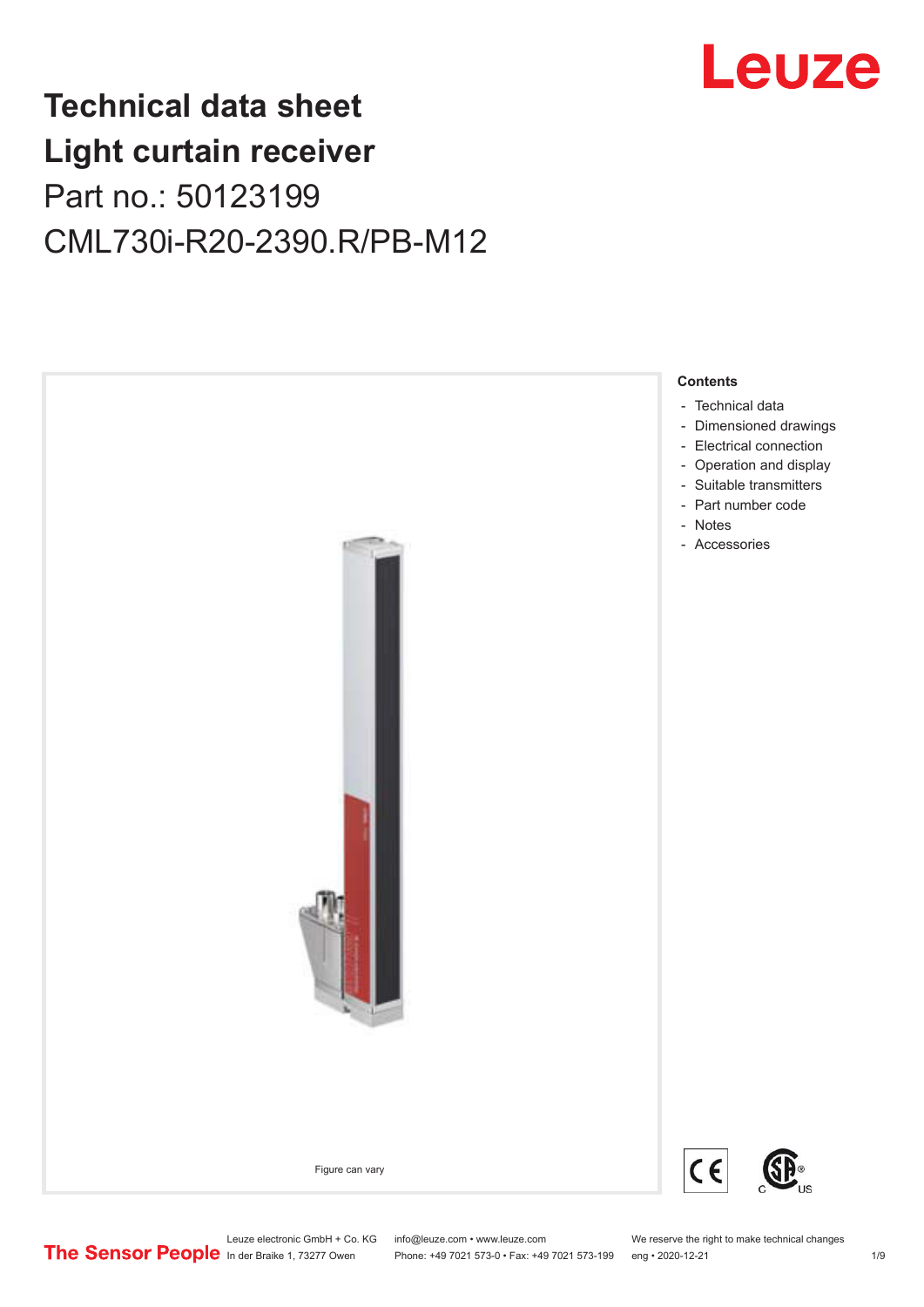

# **Technical data sheet Light curtain receiver** Part no.: 50123199 CML730i-R20-2390.R/PB-M12



Leuze electronic GmbH + Co. KG info@leuze.com • www.leuze.com We reserve the right to make technical changes<br>
The Sensor People in der Braike 1, 73277 Owen Phone: +49 7021 573-0 • Fax: +49 7021 573-199 eng • 2020-12-21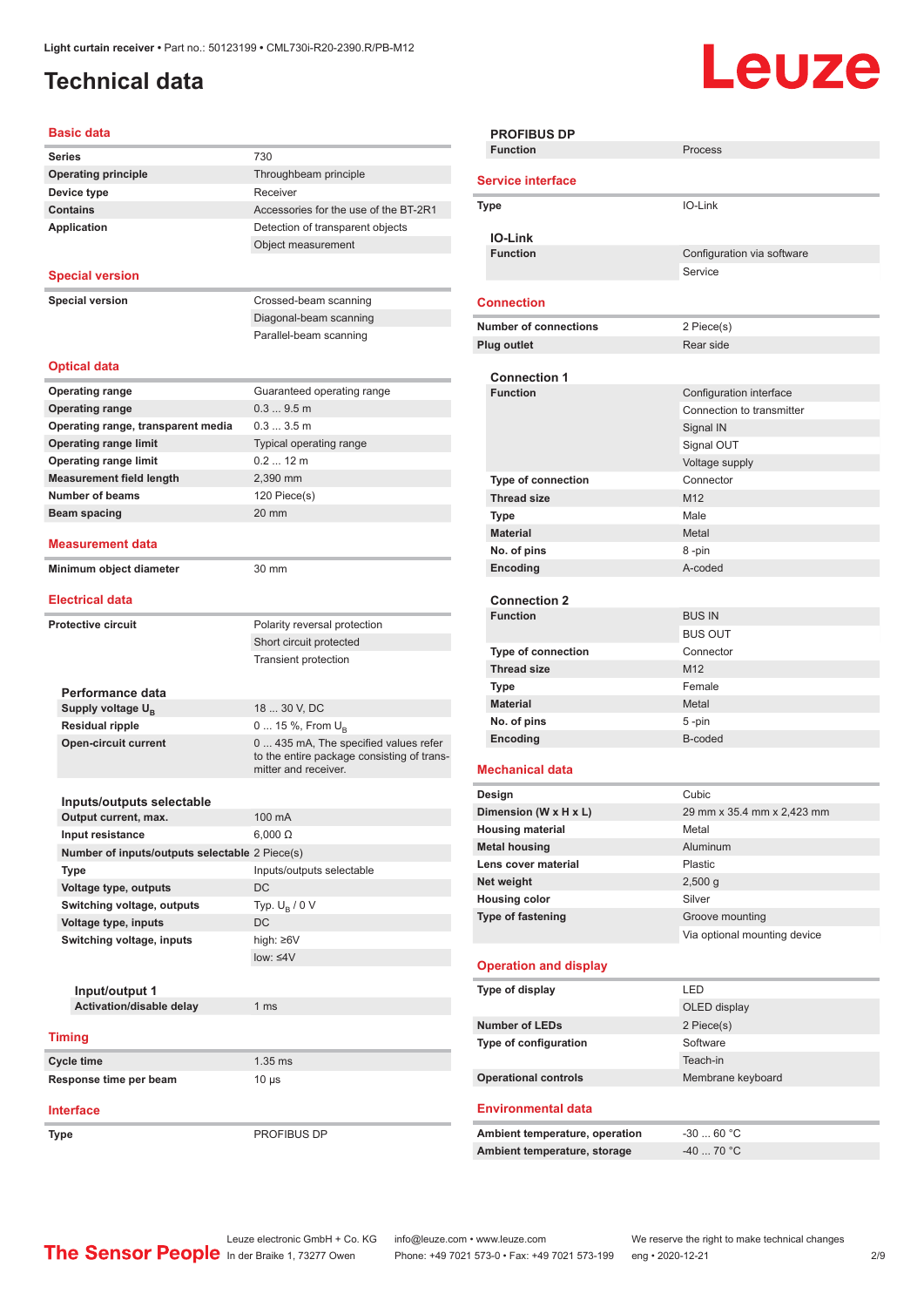## <span id="page-1-0"></span>**Technical data**

# Leuze

#### **Basic data**

| Dasit uala                                     |                                            |
|------------------------------------------------|--------------------------------------------|
| <b>Series</b>                                  | 730                                        |
| <b>Operating principle</b>                     | Throughbeam principle                      |
| Device type                                    | Receiver                                   |
| <b>Contains</b>                                | Accessories for the use of the BT-2R1      |
| <b>Application</b>                             | Detection of transparent objects           |
|                                                | Object measurement                         |
|                                                |                                            |
| <b>Special version</b>                         |                                            |
| <b>Special version</b>                         | Crossed-beam scanning                      |
|                                                | Diagonal-beam scanning                     |
|                                                | Parallel-beam scanning                     |
|                                                |                                            |
| <b>Optical data</b>                            |                                            |
|                                                |                                            |
| <b>Operating range</b>                         | Guaranteed operating range                 |
| <b>Operating range</b>                         | 0.39.5m                                    |
| Operating range, transparent media             | 0.33.5m                                    |
| <b>Operating range limit</b>                   | Typical operating range                    |
| <b>Operating range limit</b>                   | $0.212$ m                                  |
| <b>Measurement field length</b>                | 2,390 mm                                   |
| <b>Number of beams</b>                         | 120 Piece(s)                               |
| Beam spacing                                   | 20 mm                                      |
|                                                |                                            |
| Measurement data                               |                                            |
| Minimum object diameter                        | 30 mm                                      |
|                                                |                                            |
| <b>Electrical data</b>                         |                                            |
| <b>Protective circuit</b>                      | Polarity reversal protection               |
|                                                | Short circuit protected                    |
|                                                | <b>Transient protection</b>                |
|                                                |                                            |
| Performance data                               |                                            |
| Supply voltage U <sub>B</sub>                  | 18  30 V, DC                               |
| <b>Residual ripple</b>                         | 0  15 %, From $U_{\rm B}$                  |
| <b>Open-circuit current</b>                    | 0  435 mA, The specified values refer      |
|                                                | to the entire package consisting of trans- |
|                                                | mitter and receiver.                       |
|                                                |                                            |
| Inputs/outputs selectable                      |                                            |
| Output current, max.                           | 100 mA                                     |
| <b>Input resistance</b>                        | $6,000 \Omega$                             |
| Number of inputs/outputs selectable 2 Piece(s) |                                            |
| Type                                           | Inputs/outputs selectable                  |
| Voltage type, outputs                          | DC                                         |
| Switching voltage, outputs                     | Typ. $U_R / 0 V$                           |
| Voltage type, inputs                           | DC                                         |
| Switching voltage, inputs                      | high: ≥6V                                  |
|                                                | $low: \leq 4V$                             |
|                                                |                                            |
| Input/output 1                                 |                                            |
| Activation/disable delay                       | 1 <sub>ms</sub>                            |
|                                                |                                            |
| <b>Timing</b>                                  |                                            |
| Cycle time                                     | $1.35$ ms                                  |
| Response time per beam                         | $10 \mu s$                                 |
|                                                |                                            |
| <b>Interface</b>                               |                                            |
| Type                                           | PROFIBUS DP                                |

| <b>PROFIBUS DP</b>             |                              |  |  |  |
|--------------------------------|------------------------------|--|--|--|
| <b>Function</b>                | Process                      |  |  |  |
|                                |                              |  |  |  |
| <b>Service interface</b>       |                              |  |  |  |
| <b>Type</b>                    | IO-Link                      |  |  |  |
|                                |                              |  |  |  |
| <b>IO-Link</b>                 |                              |  |  |  |
| <b>Function</b>                | Configuration via software   |  |  |  |
|                                | Service                      |  |  |  |
|                                |                              |  |  |  |
| <b>Connection</b>              |                              |  |  |  |
| <b>Number of connections</b>   | 2 Piece(s)                   |  |  |  |
| <b>Plug outlet</b>             | Rear side                    |  |  |  |
|                                |                              |  |  |  |
| <b>Connection 1</b>            |                              |  |  |  |
| <b>Function</b>                | Configuration interface      |  |  |  |
|                                | Connection to transmitter    |  |  |  |
|                                | Signal IN                    |  |  |  |
|                                | Signal OUT                   |  |  |  |
|                                | Voltage supply               |  |  |  |
|                                |                              |  |  |  |
| Type of connection             | Connector                    |  |  |  |
| <b>Thread size</b>             | M <sub>12</sub>              |  |  |  |
| <b>Type</b>                    | Male                         |  |  |  |
| <b>Material</b>                | Metal                        |  |  |  |
| No. of pins                    | 8-pin                        |  |  |  |
| Encoding                       | A-coded                      |  |  |  |
|                                |                              |  |  |  |
| <b>Connection 2</b>            |                              |  |  |  |
| <b>Function</b>                | <b>BUS IN</b>                |  |  |  |
|                                | <b>BUS OUT</b>               |  |  |  |
| <b>Type of connection</b>      | Connector                    |  |  |  |
| <b>Thread size</b>             | M12                          |  |  |  |
| Type                           | Female                       |  |  |  |
| <b>Material</b>                | Metal                        |  |  |  |
| No. of pins                    | 5-pin                        |  |  |  |
| Encoding                       | B-coded                      |  |  |  |
|                                |                              |  |  |  |
| <b>Mechanical data</b>         |                              |  |  |  |
| Design                         | Cubic                        |  |  |  |
| Dimension (W x H x L)          | 29 mm x 35.4 mm x 2,423 mm   |  |  |  |
| <b>Housing material</b>        | Metal                        |  |  |  |
| <b>Metal housing</b>           | Aluminum                     |  |  |  |
| Lens cover material            | Plastic                      |  |  |  |
| Net weight                     | 2,500q                       |  |  |  |
| <b>Housing color</b>           | Silver                       |  |  |  |
| Type of fastening              | Groove mounting              |  |  |  |
|                                | Via optional mounting device |  |  |  |
|                                |                              |  |  |  |
| <b>Operation and display</b>   |                              |  |  |  |
|                                |                              |  |  |  |
| Type of display                | <b>LED</b>                   |  |  |  |
|                                | OLED display                 |  |  |  |
| <b>Number of LEDs</b>          | 2 Piece(s)                   |  |  |  |
| Type of configuration          | Software                     |  |  |  |
|                                | Teach-in                     |  |  |  |
| <b>Operational controls</b>    | Membrane keyboard            |  |  |  |
|                                |                              |  |  |  |
| <b>Environmental data</b>      |                              |  |  |  |
| Ambient temperature, operation | $-3060 °C$                   |  |  |  |
| Ambient temperature, storage   | $-4070 °C$                   |  |  |  |
|                                |                              |  |  |  |
|                                |                              |  |  |  |
|                                |                              |  |  |  |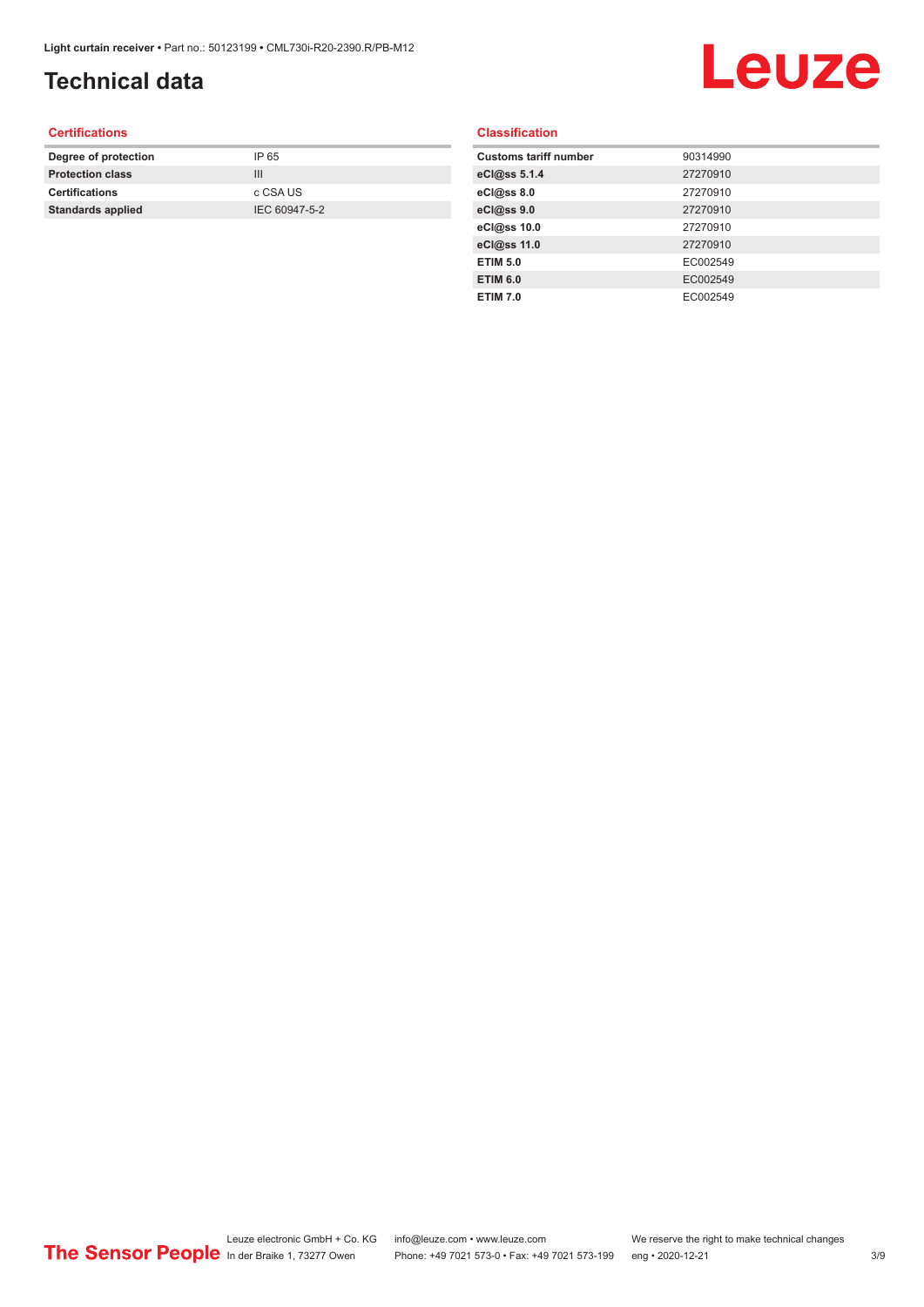# **Technical data**

# Leuze

#### **Certifications**

| Degree of protection     | IP 65         |
|--------------------------|---------------|
| <b>Protection class</b>  | Ш             |
| <b>Certifications</b>    | c CSA US      |
| <b>Standards applied</b> | IEC 60947-5-2 |
|                          |               |

#### **Classification**

| <b>Customs tariff number</b> | 90314990 |
|------------------------------|----------|
| eCl@ss 5.1.4                 | 27270910 |
| eCl@ss 8.0                   | 27270910 |
| eCl@ss 9.0                   | 27270910 |
| eCl@ss 10.0                  | 27270910 |
| eCl@ss 11.0                  | 27270910 |
| <b>ETIM 5.0</b>              | EC002549 |
| <b>ETIM 6.0</b>              | EC002549 |
| <b>ETIM 7.0</b>              | EC002549 |
|                              |          |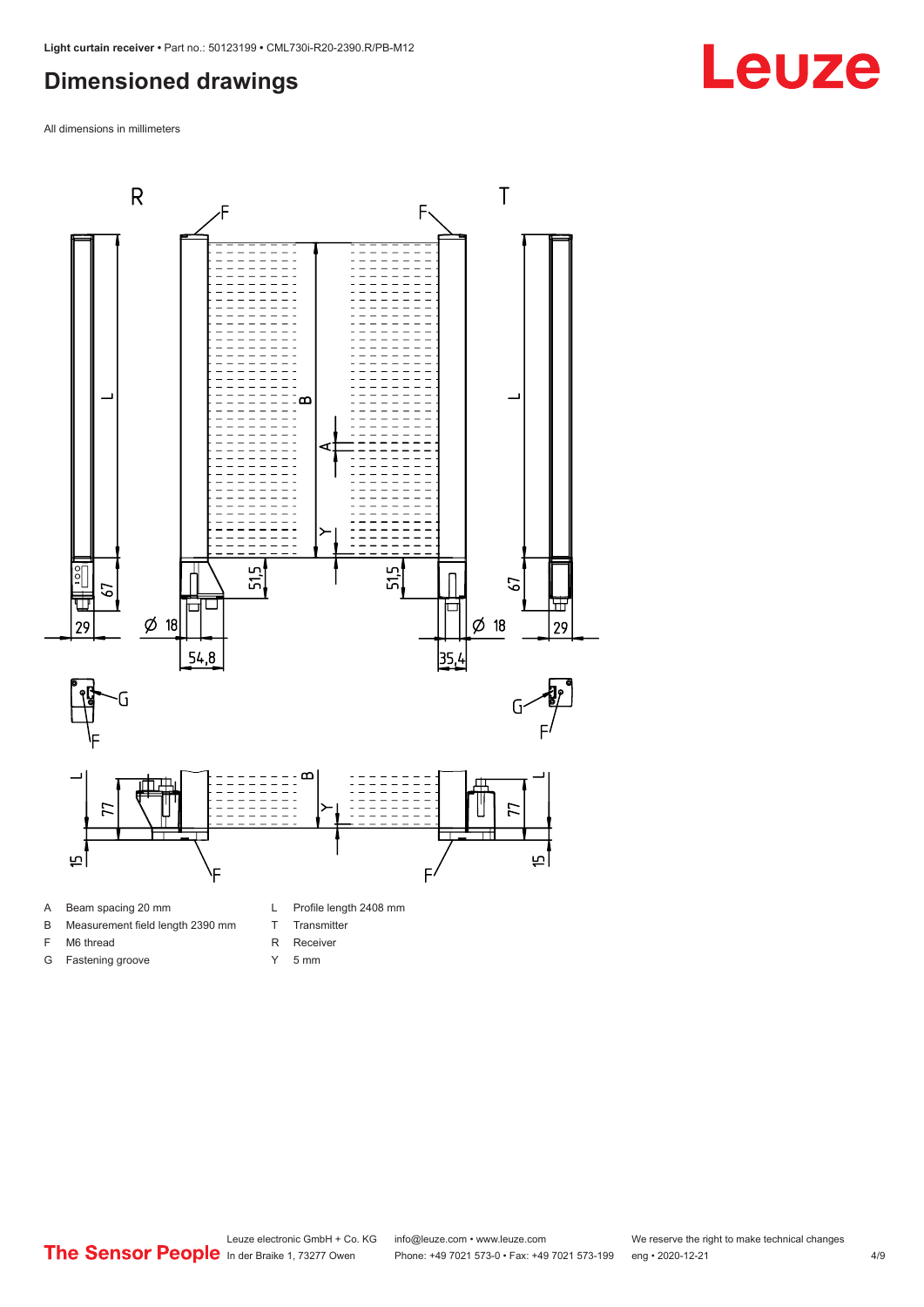#### <span id="page-3-0"></span>**Dimensioned drawings**

All dimensions in millimeters



- A Beam spacing 20 mm
- B Measurement field length 2390 mm
- F M6 thread
- 
- G Fastening groove
- T Transmitter
- R Receiver
- Y 5 mm

**Leuze**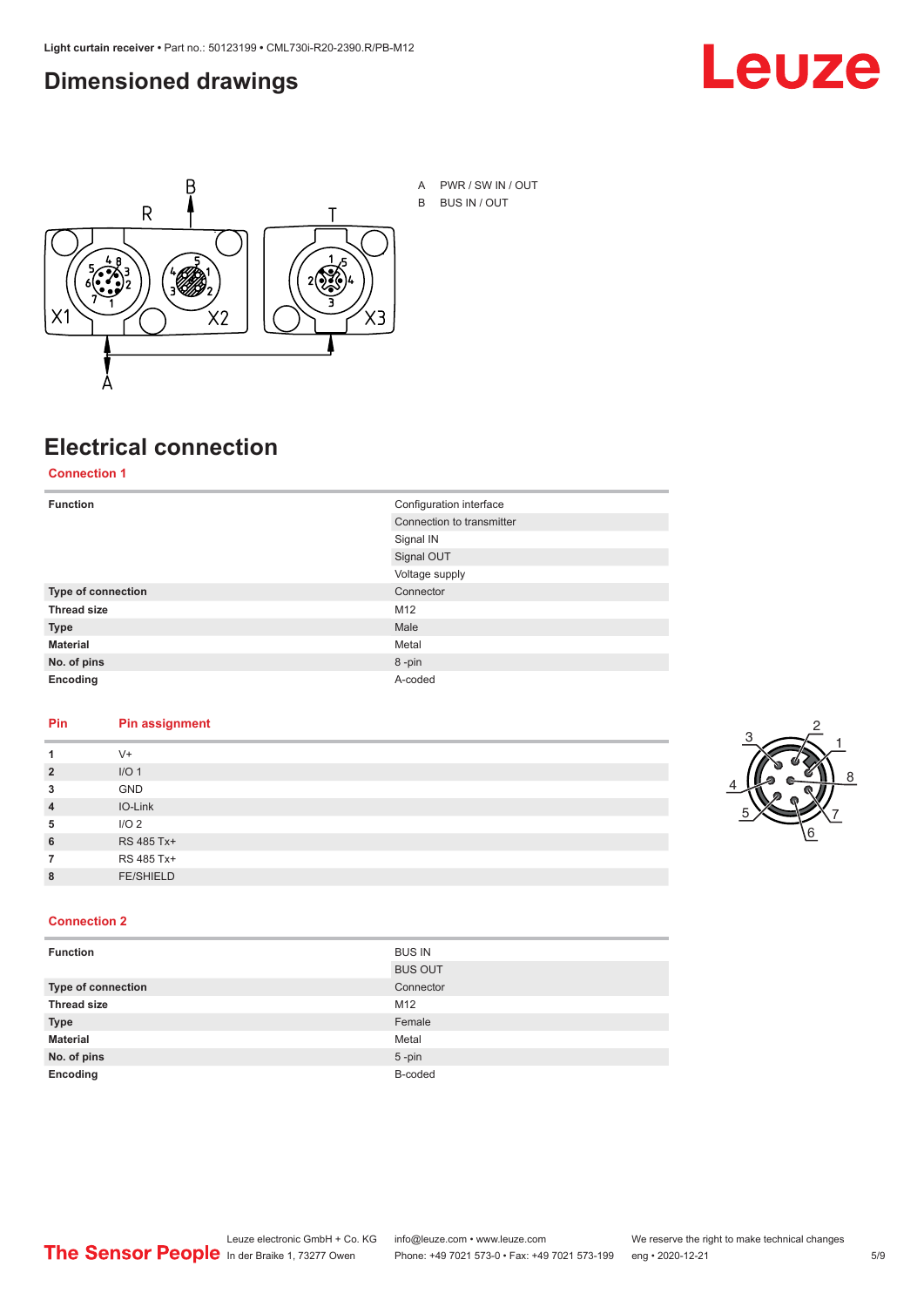#### <span id="page-4-0"></span>**Dimensioned drawings**





# **Electrical connection**

**Connection 1**

| <b>Function</b>    | Configuration interface   |
|--------------------|---------------------------|
|                    | Connection to transmitter |
|                    | Signal IN                 |
|                    | Signal OUT                |
|                    | Voltage supply            |
| Type of connection | Connector                 |
| <b>Thread size</b> | M12                       |
| <b>Type</b>        | Male                      |
| <b>Material</b>    | Metal                     |
| No. of pins        | 8-pin                     |
| Encoding           | A-coded                   |

#### **Pin Pin assignment**

| 1              | $V +$            |  |  |
|----------------|------------------|--|--|
| $\overline{2}$ | I/O <sub>1</sub> |  |  |
| 3              | <b>GND</b>       |  |  |
| $\overline{4}$ | IO-Link          |  |  |
| 5              | I/O <sub>2</sub> |  |  |
| 6              | RS 485 Tx+       |  |  |
| 7              | RS 485 Tx+       |  |  |
| 8              | <b>FE/SHIELD</b> |  |  |
|                |                  |  |  |



#### **Connection 2**

| <b>Function</b>    | <b>BUS IN</b>  |
|--------------------|----------------|
|                    | <b>BUS OUT</b> |
| Type of connection | Connector      |
| <b>Thread size</b> | M12            |
| <b>Type</b>        | Female         |
| <b>Material</b>    | Metal          |
| No. of pins        | $5$ -pin       |
| Encoding           | B-coded        |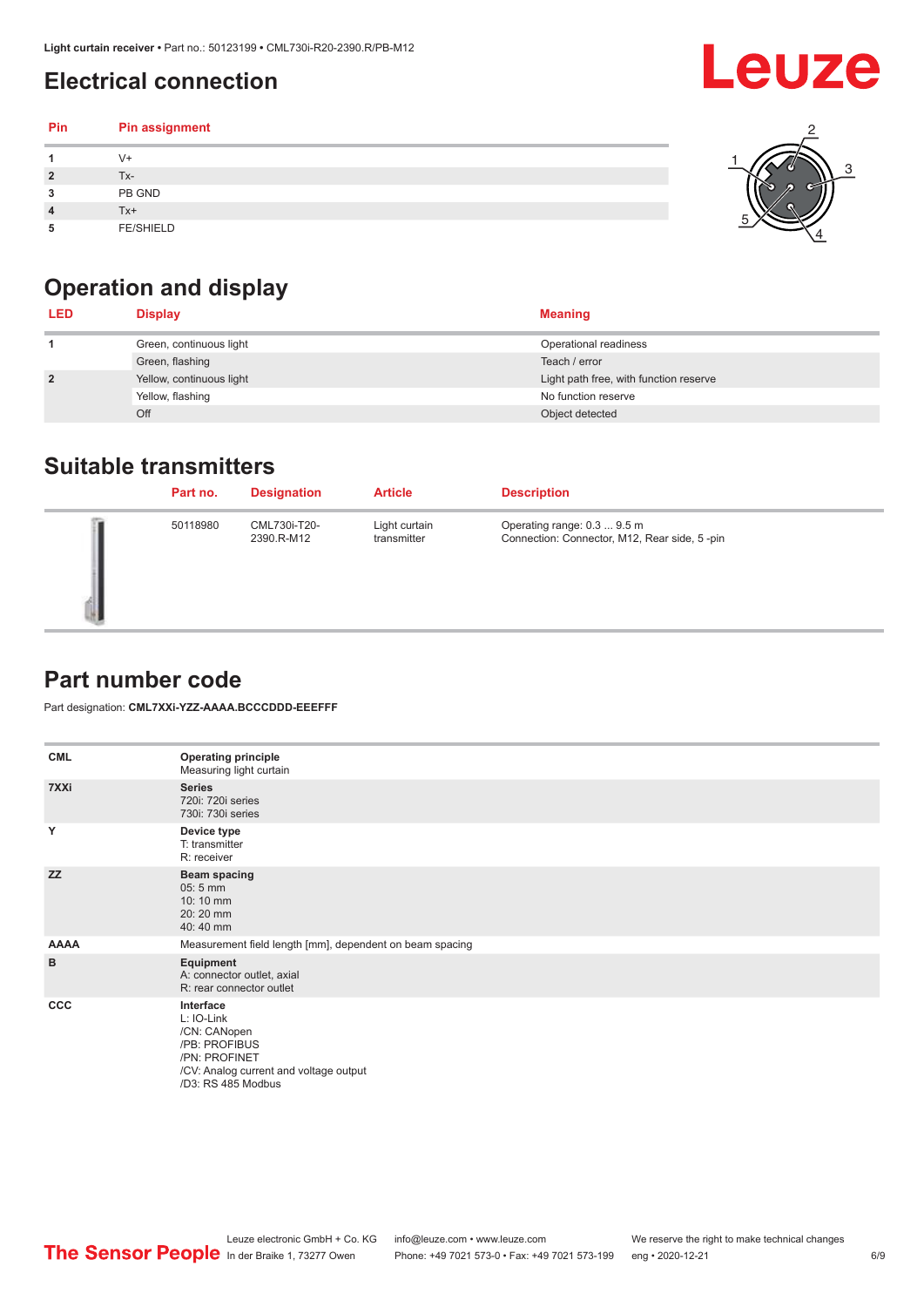## <span id="page-5-0"></span>**Electrical connection**

#### **Pin Pin assignment 1** V+ **2** Tx-**3** PB GND **4** Tx+ **5** FE/SHIELD 3 2 1 5 4

# **Operation and display**

| <b>LED</b>     | <b>Display</b>           | <b>Meaning</b>                         |
|----------------|--------------------------|----------------------------------------|
|                | Green, continuous light  | Operational readiness                  |
|                | Green, flashing          | Teach / error                          |
| $\overline{2}$ | Yellow, continuous light | Light path free, with function reserve |
|                | Yellow, flashing         | No function reserve                    |
|                | Off                      | Object detected                        |

#### **Suitable transmitters**

| Part no. | <b>Designation</b>         | <b>Article</b>               | <b>Description</b>                                                          |
|----------|----------------------------|------------------------------|-----------------------------------------------------------------------------|
| 50118980 | CML730i-T20-<br>2390.R-M12 | Light curtain<br>transmitter | Operating range: 0.3  9.5 m<br>Connection: Connector, M12, Rear side, 5-pin |

### **Part number code**

Part designation: **CML7XXi-YZZ-AAAA.BCCCDDD-EEEFFF**

| <b>CML</b>  | <b>Operating principle</b><br>Measuring light curtain                                                                                     |
|-------------|-------------------------------------------------------------------------------------------------------------------------------------------|
| 7XXi        | <b>Series</b><br>720i: 720i series<br>730i: 730i series                                                                                   |
| Y           | Device type<br>T: transmitter<br>R: receiver                                                                                              |
| <b>ZZ</b>   | <b>Beam spacing</b><br>$05:5$ mm<br>10:10 mm<br>20:20 mm<br>40:40 mm                                                                      |
| <b>AAAA</b> | Measurement field length [mm], dependent on beam spacing                                                                                  |
| B           | Equipment<br>A: connector outlet, axial<br>R: rear connector outlet                                                                       |
| <b>CCC</b>  | Interface<br>L: IO-Link<br>/CN: CANopen<br>/PB: PROFIBUS<br>/PN: PROFINET<br>/CV: Analog current and voltage output<br>/D3: RS 485 Modbus |

**Leuze**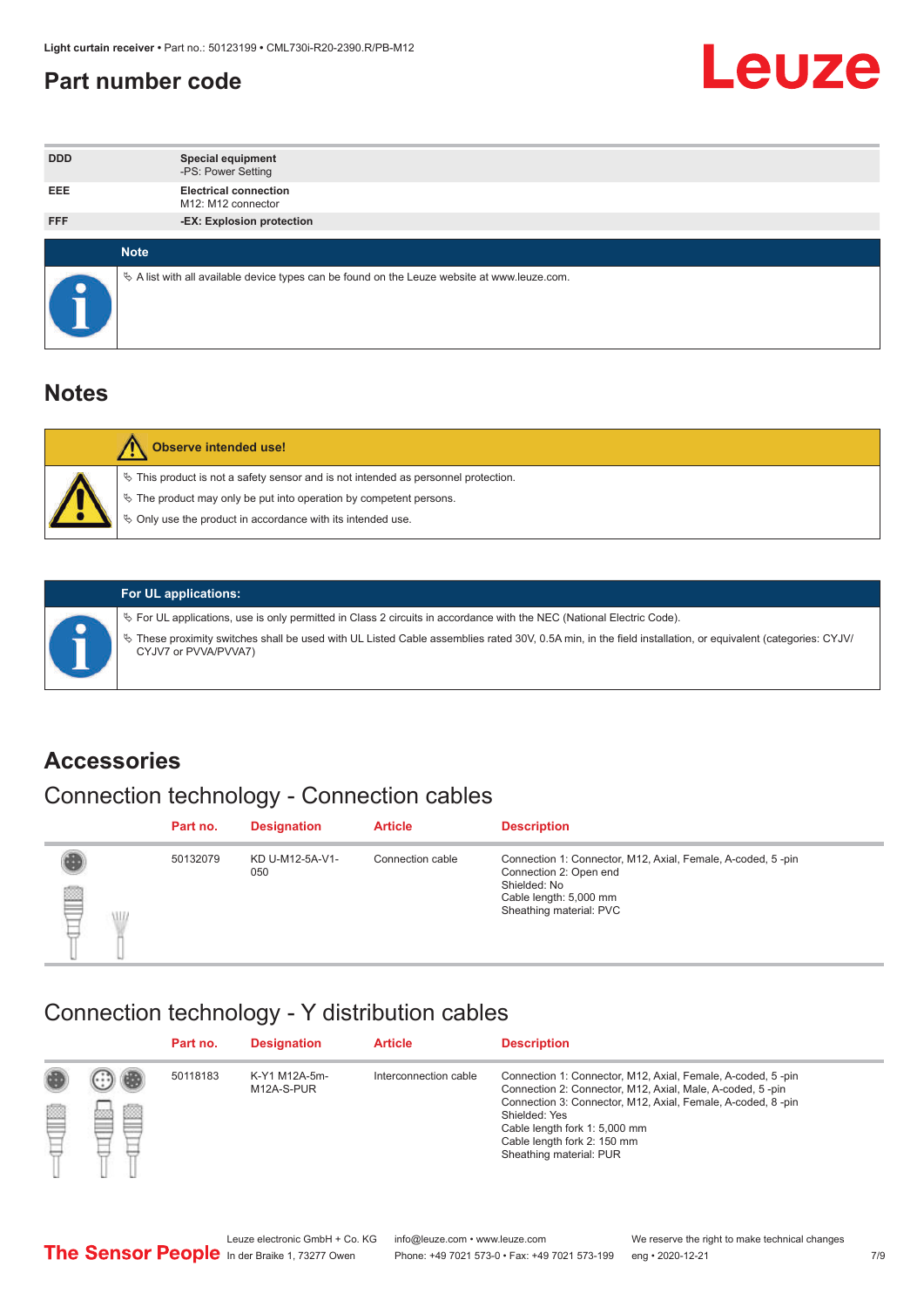#### <span id="page-6-0"></span>**Part number code**



| <b>DDD</b> | <b>Special equipment</b><br>-PS: Power Setting                                                    |
|------------|---------------------------------------------------------------------------------------------------|
| <b>EEE</b> | <b>Electrical connection</b><br>M12: M12 connector                                                |
| <b>FFF</b> | -EX: Explosion protection                                                                         |
|            | <b>Note</b>                                                                                       |
|            | Vector A list with all available device types can be found on the Leuze website at www.leuze.com. |

#### **Notes**

| Observe intended use!                                                                                                                                                                                                            |
|----------------------------------------------------------------------------------------------------------------------------------------------------------------------------------------------------------------------------------|
| $\%$ This product is not a safety sensor and is not intended as personnel protection.<br>$\%$ The product may only be put into operation by competent persons.<br>$\%$ Only use the product in accordance with its intended use. |
|                                                                                                                                                                                                                                  |



#### **For UL applications:**

ª For UL applications, use is only permitted in Class 2 circuits in accordance with the NEC (National Electric Code). ª These proximity switches shall be used with UL Listed Cable assemblies rated 30V, 0.5A min, in the field installation, or equivalent (categories: CYJV/ CYJV7 or PVVA/PVVA7)

#### **Accessories**

## Connection technology - Connection cables

|        | Part no. | <b>Designation</b>     | <b>Article</b>   | <b>Description</b>                                                                                                                                         |
|--------|----------|------------------------|------------------|------------------------------------------------------------------------------------------------------------------------------------------------------------|
| 2<br>W | 50132079 | KD U-M12-5A-V1-<br>050 | Connection cable | Connection 1: Connector, M12, Axial, Female, A-coded, 5-pin<br>Connection 2: Open end<br>Shielded: No<br>Cable length: 5,000 mm<br>Sheathing material: PVC |

#### Connection technology - Y distribution cables

|             |   | Part no. | <b>Designation</b>          | <b>Article</b>        | <b>Description</b>                                                                                                                                                                                                                                                                                  |
|-------------|---|----------|-----------------------------|-----------------------|-----------------------------------------------------------------------------------------------------------------------------------------------------------------------------------------------------------------------------------------------------------------------------------------------------|
| 圔<br>⋿<br>٣ | ø | 50118183 | K-Y1 M12A-5m-<br>M12A-S-PUR | Interconnection cable | Connection 1: Connector, M12, Axial, Female, A-coded, 5-pin<br>Connection 2: Connector, M12, Axial, Male, A-coded, 5-pin<br>Connection 3: Connector, M12, Axial, Female, A-coded, 8-pin<br>Shielded: Yes<br>Cable length fork 1: 5,000 mm<br>Cable length fork 2: 150 mm<br>Sheathing material: PUR |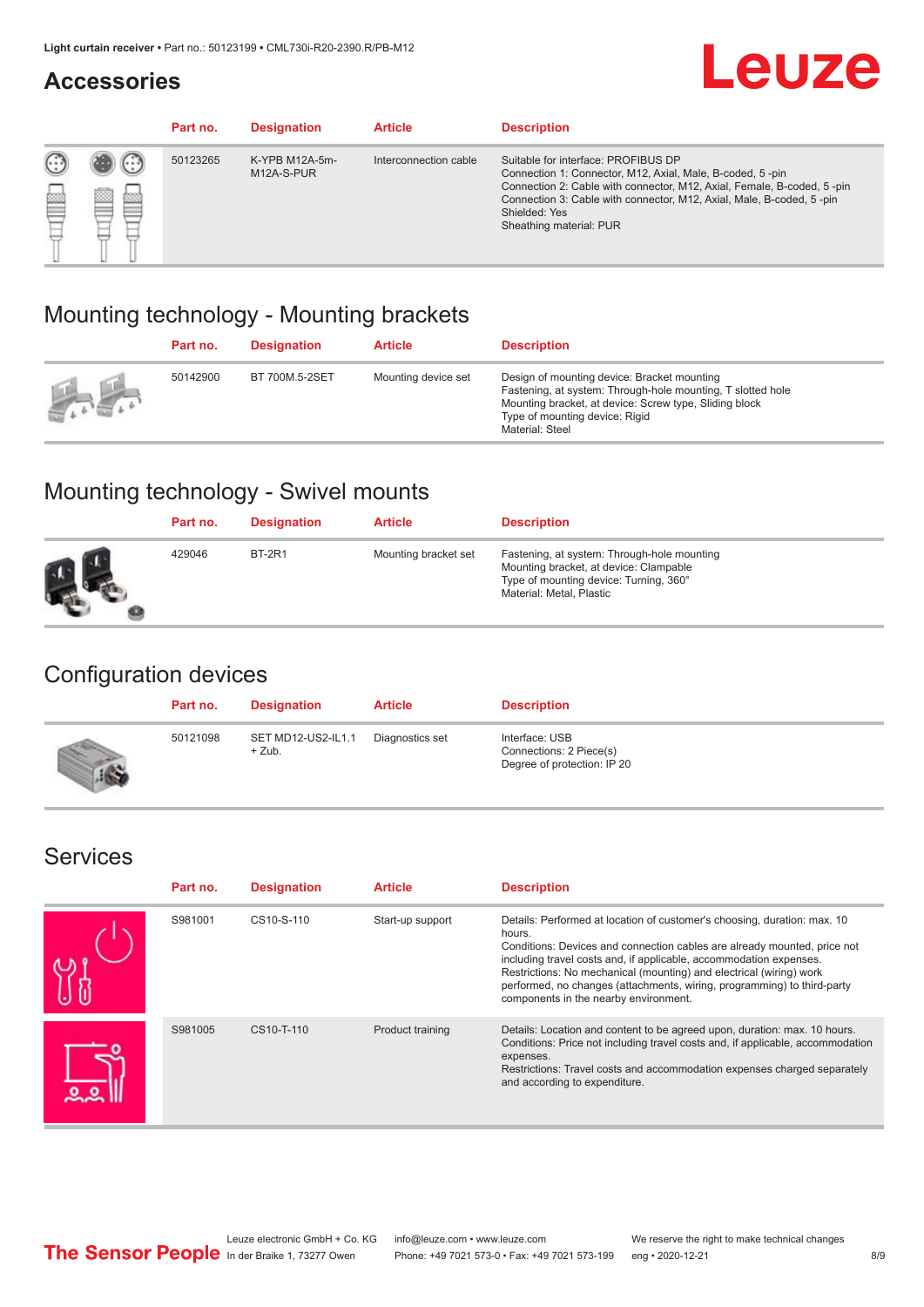#### **Accessories**

# **Leuze**

|   |        | Part no. | <b>Designation</b>           | <b>Article</b>        | <b>Description</b>                                                                                                                                                                                                                                                                             |
|---|--------|----------|------------------------------|-----------------------|------------------------------------------------------------------------------------------------------------------------------------------------------------------------------------------------------------------------------------------------------------------------------------------------|
| 您 | ×<br>一 | 50123265 | K-YPB M12A-5m-<br>M12A-S-PUR | Interconnection cable | Suitable for interface: PROFIBUS DP<br>Connection 1: Connector, M12, Axial, Male, B-coded, 5-pin<br>Connection 2: Cable with connector, M12, Axial, Female, B-coded, 5-pin<br>Connection 3: Cable with connector, M12, Axial, Male, B-coded, 5-pin<br>Shielded: Yes<br>Sheathing material: PUR |

### Mounting technology - Mounting brackets

|               | Part no. | <b>Designation</b> | <b>Article</b>      | <b>Description</b>                                                                                                                                                                                                        |
|---------------|----------|--------------------|---------------------|---------------------------------------------------------------------------------------------------------------------------------------------------------------------------------------------------------------------------|
| $\frac{1}{2}$ | 50142900 | BT 700M.5-2SET     | Mounting device set | Design of mounting device: Bracket mounting<br>Fastening, at system: Through-hole mounting, T slotted hole<br>Mounting bracket, at device: Screw type, Sliding block<br>Type of mounting device: Rigid<br>Material: Steel |

## Mounting technology - Swivel mounts

| Part no. | <b>Designation</b> | <b>Article</b>       | <b>Description</b>                                                                                                                                          |
|----------|--------------------|----------------------|-------------------------------------------------------------------------------------------------------------------------------------------------------------|
| 429046   | <b>BT-2R1</b>      | Mounting bracket set | Fastening, at system: Through-hole mounting<br>Mounting bracket, at device: Clampable<br>Type of mounting device: Turning, 360°<br>Material: Metal, Plastic |

### Configuration devices

| Part no. | <b>Designation</b>             | <b>Article</b>  | <b>Description</b>                                                       |
|----------|--------------------------------|-----------------|--------------------------------------------------------------------------|
| 50121098 | SET MD12-US2-IL1.1<br>$+$ Zub. | Diagnostics set | Interface: USB<br>Connections: 2 Piece(s)<br>Degree of protection: IP 20 |

#### Services

| Part no. | <b>Designation</b> | <b>Article</b>   | <b>Description</b>                                                                                                                                                                                                                                                                                                                                                                                                              |
|----------|--------------------|------------------|---------------------------------------------------------------------------------------------------------------------------------------------------------------------------------------------------------------------------------------------------------------------------------------------------------------------------------------------------------------------------------------------------------------------------------|
| S981001  | CS10-S-110         | Start-up support | Details: Performed at location of customer's choosing, duration: max. 10<br>hours.<br>Conditions: Devices and connection cables are already mounted, price not<br>including travel costs and, if applicable, accommodation expenses.<br>Restrictions: No mechanical (mounting) and electrical (wiring) work<br>performed, no changes (attachments, wiring, programming) to third-party<br>components in the nearby environment. |
| S981005  | CS10-T-110         | Product training | Details: Location and content to be agreed upon, duration: max. 10 hours.<br>Conditions: Price not including travel costs and, if applicable, accommodation<br>expenses.<br>Restrictions: Travel costs and accommodation expenses charged separately<br>and according to expenditure.                                                                                                                                           |